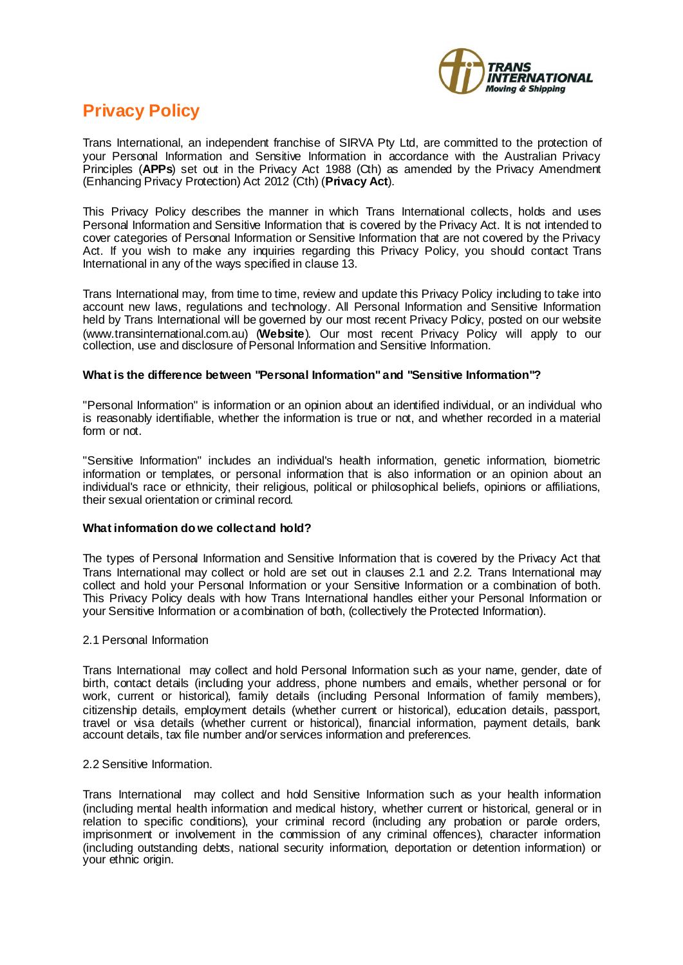

## **Privacy Policy**

Trans International, an independent franchise of SIRVA Pty Ltd, are committed to the protection of your Personal Information and Sensitive Information in accordance with the Australian Privacy Principles (**APPs**) set out in the Privacy Act 1988 (Cth) as amended by the Privacy Amendment (Enhancing Privacy Protection) Act 2012 (Cth) (**Privacy Act**).

This Privacy Policy describes the manner in which Trans International collects, holds and uses Personal Information and Sensitive Information that is covered by the Privacy Act. It is not intended to cover categories of Personal Information or Sensitive Information that are not covered by the Privacy Act. If you wish to make any inquiries regarding this Privacy Policy, you should contact Trans International in any of the ways specified in clause 13.

Trans International may, from time to time, review and update this Privacy Policy including to take into account new laws, regulations and technology. All Personal Information and Sensitive Information held by Trans International will be governed by our most recent Privacy Policy, posted on our website (www.transinternational.com.au) (**Website**). Our most recent Privacy Policy will apply to our collection, use and disclosure of Personal Information and Sensitive Information.

#### **What is the difference between "Personal Information" and "Sensitive Information"?**

"Personal Information" is information or an opinion about an identified individual, or an individual who is reasonably identifiable, whether the information is true or not, and whether recorded in a material form or not.

"Sensitive Information" includes an individual's health information, genetic information, biometric information or templates, or personal information that is also information or an opinion about an individual's race or ethnicity, their religious, political or philosophical beliefs, opinions or affiliations, their sexual orientation or criminal record.

#### **What information do we collect and hold?**

The types of Personal Information and Sensitive Information that is covered by the Privacy Act that Trans International may collect or hold are set out in clauses 2.1 and 2.2. Trans International may collect and hold your Personal Information or your Sensitive Information or a combination of both. This Privacy Policy deals with how Trans International handles either your Personal Information or your Sensitive Information or a combination of both, (collectively the Protected Information).

#### 2.1 Personal Information

Trans International may collect and hold Personal Information such as your name, gender, date of birth, contact details (including your address, phone numbers and emails, whether personal or for work, current or historical), family details (including Personal Information of family members), citizenship details, employment details (whether current or historical), education details, passport, travel or visa details (whether current or historical), financial information, payment details, bank account details, tax file number and/or services information and preferences.

#### 2.2 Sensitive Information.

Trans International may collect and hold Sensitive Information such as your health information (including mental health information and medical history, whether current or historical, general or in relation to specific conditions), your criminal record (including any probation or parole orders, imprisonment or involvement in the commission of any criminal offences), character information (including outstanding debts, national security information, deportation or detention information) or your ethnic origin.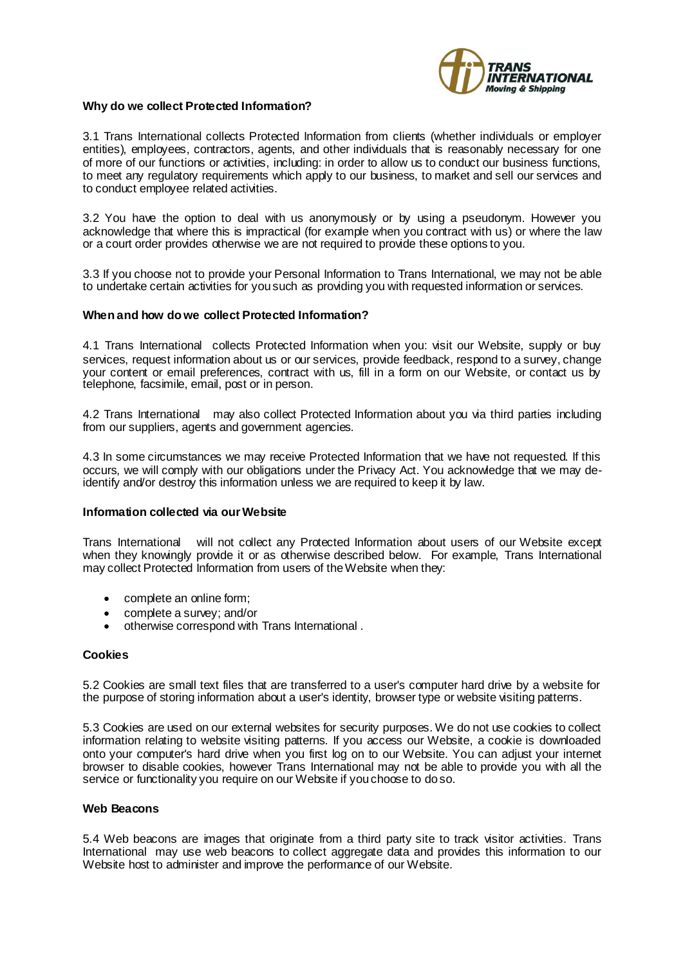

#### **Why do we collect Protected Information?**

3.1 Trans International collects Protected Information from clients (whether individuals or employer entities), employees, contractors, agents, and other individuals that is reasonably necessary for one of more of our functions or activities, including: in order to allow us to conduct our business functions, to meet any regulatory requirements which apply to our business, to market and sell our services and to conduct employee related activities.

3.2 You have the option to deal with us anonymously or by using a pseudonym. However you acknowledge that where this is impractical (for example when you contract with us) or where the law or a court order provides otherwise we are not required to provide these options to you.

3.3 If you choose not to provide your Personal Information to Trans International, we may not be able to undertake certain activities for you such as providing you with requested information or services.

#### **When and how do we collect Protected Information?**

4.1 Trans International collects Protected Information when you: visit our Website, supply or buy services, request information about us or our services, provide feedback, respond to a survey, change your content or email preferences, contract with us, fill in a form on our Website, or contact us by telephone, facsimile, email, post or in person.

4.2 Trans International may also collect Protected Information about you via third parties including from our suppliers, agents and government agencies.

4.3 In some circumstances we may receive Protected Information that we have not requested. If this occurs, we will comply with our obligations under the Privacy Act. You acknowledge that we may deidentify and/or destroy this information unless we are required to keep it by law.

#### **Information collected via our Website**

Trans International will not collect any Protected Information about users of our Website except when they knowingly provide it or as otherwise described below. For example, Trans International may collect Protected Information from users of the Website when they:

- complete an online form:
- complete a survey; and/or
- otherwise correspond with Trans International .

#### **Cookies**

5.2 Cookies are small text files that are transferred to a user's computer hard drive by a website for the purpose of storing information about a user's identity, browser type or website visiting patterns.

5.3 Cookies are used on our external websites for security purposes. We do not use cookies to collect information relating to website visiting patterns. If you access our Website, a cookie is downloaded onto your computer's hard drive when you first log on to our Website. You can adjust your internet browser to disable cookies, however Trans International may not be able to provide you with all the service or functionality you require on our Website if you choose to do so.

#### **Web Beacons**

5.4 Web beacons are images that originate from a third party site to track visitor activities. Trans International may use web beacons to collect aggregate data and provides this information to our Website host to administer and improve the performance of our Website.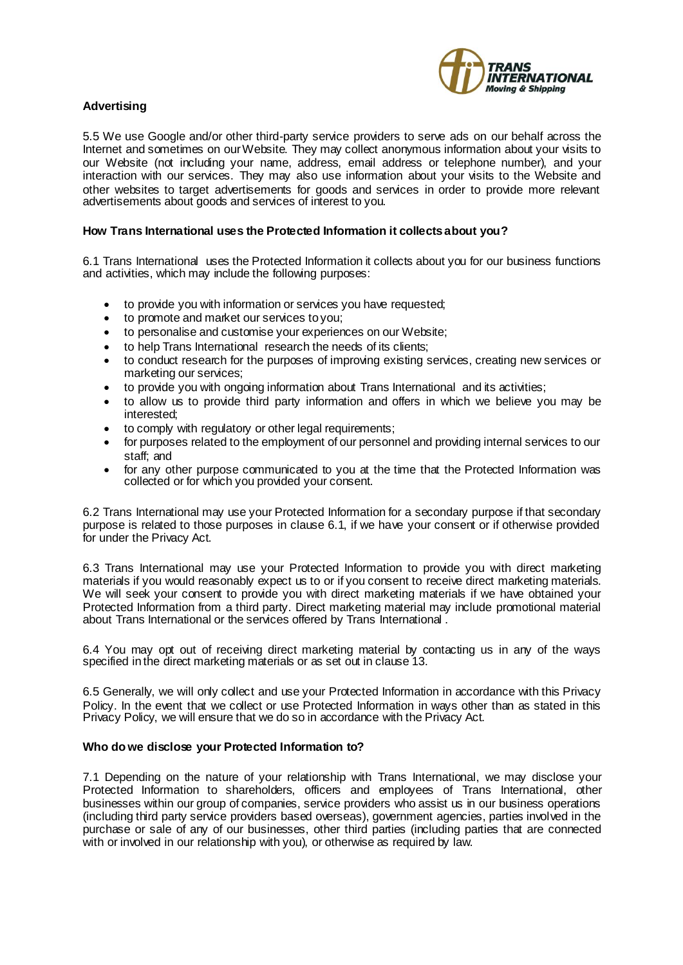

#### **Advertising**

5.5 We use Google and/or other third-party service providers to serve ads on our behalf across the Internet and sometimes on our Website. They may collect anonymous information about your visits to our Website (not including your name, address, email address or telephone number), and your interaction with our services. They may also use information about your visits to the Website and other websites to target advertisements for goods and services in order to provide more relevant advertisements about goods and services of interest to you.

#### **How Trans International uses the Protected Information it collects about you?**

6.1 Trans International uses the Protected Information it collects about you for our business functions and activities, which may include the following purposes:

- to provide you with information or services you have requested;
- to promote and market our services to you;
- to personalise and customise your experiences on our Website;
- to help Trans International research the needs of its clients;
- to conduct research for the purposes of improving existing services, creating new services or marketing our services;
- to provide you with ongoing information about Trans International and its activities;
- to allow us to provide third party information and offers in which we believe you may be interested;
- to comply with regulatory or other legal requirements;
- for purposes related to the employment of our personnel and providing internal services to our staff; and
- for any other purpose communicated to you at the time that the Protected Information was collected or for which you provided your consent.

6.2 Trans International may use your Protected Information for a secondary purpose if that secondary purpose is related to those purposes in clause 6.1, if we have your consent or if otherwise provided for under the Privacy Act.

6.3 Trans International may use your Protected Information to provide you with direct marketing materials if you would reasonably expect us to or if you consent to receive direct marketing materials. We will seek your consent to provide you with direct marketing materials if we have obtained your Protected Information from a third party. Direct marketing material may include promotional material about Trans International or the services offered by Trans International .

6.4 You may opt out of receiving direct marketing material by contacting us in any of the ways specified in the direct marketing materials or as set out in clause 13.

6.5 Generally, we will only collect and use your Protected Information in accordance with this Privacy Policy. In the event that we collect or use Protected Information in ways other than as stated in this Privacy Policy, we will ensure that we do so in accordance with the Privacy Act.

#### **Who do we disclose your Protected Information to?**

7.1 Depending on the nature of your relationship with Trans International, we may disclose your Protected Information to shareholders, officers and employees of Trans International, other businesses within our group of companies, service providers who assist us in our business operations (including third party service providers based overseas), government agencies, parties involved in the purchase or sale of any of our businesses, other third parties (including parties that are connected with or involved in our relationship with you), or otherwise as required by law.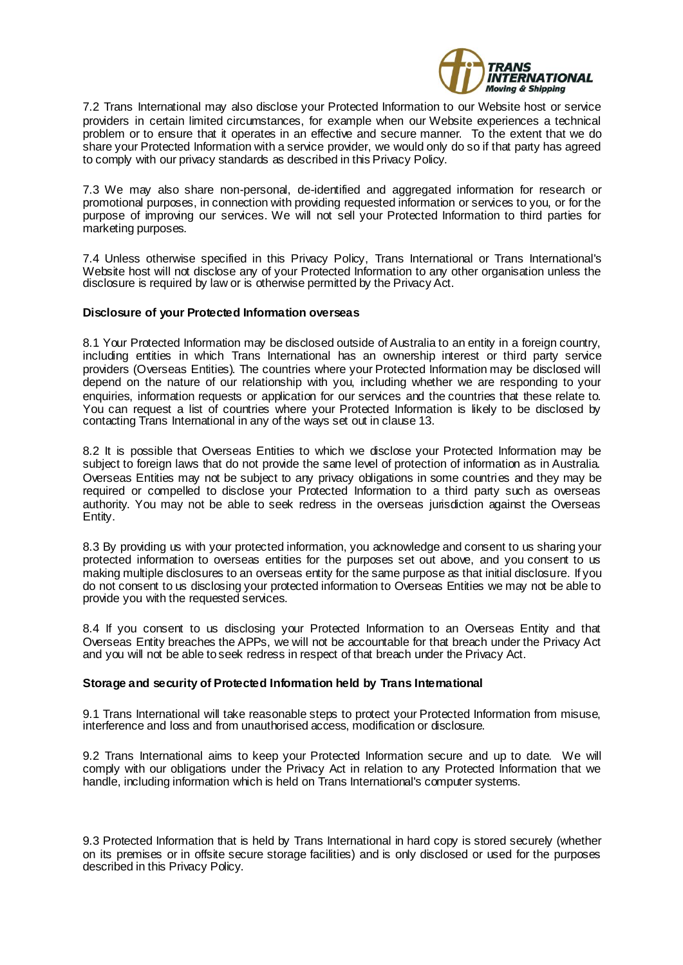

7.2 Trans International may also disclose your Protected Information to our Website host or service providers in certain limited circumstances, for example when our Website experiences a technical problem or to ensure that it operates in an effective and secure manner. To the extent that we do share your Protected Information with a service provider, we would only do so if that party has agreed to comply with our privacy standards as described in this Privacy Policy.

7.3 We may also share non-personal, de-identified and aggregated information for research or promotional purposes, in connection with providing requested information or services to you, or for the purpose of improving our services. We will not sell your Protected Information to third parties for marketing purposes.

7.4 Unless otherwise specified in this Privacy Policy, Trans International or Trans International's Website host will not disclose any of your Protected Information to any other organisation unless the disclosure is required by law or is otherwise permitted by the Privacy Act.

#### **Disclosure of your Protected Information overseas**

8.1 Your Protected Information may be disclosed outside of Australia to an entity in a foreign country, including entities in which Trans International has an ownership interest or third party service providers (Overseas Entities). The countries where your Protected Information may be disclosed will depend on the nature of our relationship with you, including whether we are responding to your enquiries, information requests or application for our services and the countries that these relate to. You can request a list of countries where your Protected Information is likely to be disclosed by contacting Trans International in any of the ways set out in clause 13.

8.2 It is possible that Overseas Entities to which we disclose your Protected Information may be subject to foreign laws that do not provide the same level of protection of information as in Australia. Overseas Entities may not be subject to any privacy obligations in some countries and they may be required or compelled to disclose your Protected Information to a third party such as overseas authority. You may not be able to seek redress in the overseas jurisdiction against the Overseas Entity.

8.3 By providing us with your protected information, you acknowledge and consent to us sharing your protected information to overseas entities for the purposes set out above, and you consent to us making multiple disclosures to an overseas entity for the same purpose as that initial disclosure. If you do not consent to us disclosing your protected information to Overseas Entities we may not be able to provide you with the requested services.

8.4 If you consent to us disclosing your Protected Information to an Overseas Entity and that Overseas Entity breaches the APPs, we will not be accountable for that breach under the Privacy Act and you will not be able to seek redress in respect of that breach under the Privacy Act.

#### **Storage and security of Protected Information held by Trans International**

9.1 Trans International will take reasonable steps to protect your Protected Information from misuse, interference and loss and from unauthorised access, modification or disclosure.

9.2 Trans International aims to keep your Protected Information secure and up to date. We will comply with our obligations under the Privacy Act in relation to any Protected Information that we handle, including information which is held on Trans International's computer systems.

9.3 Protected Information that is held by Trans International in hard copy is stored securely (whether on its premises or in offsite secure storage facilities) and is only disclosed or used for the purposes described in this Privacy Policy.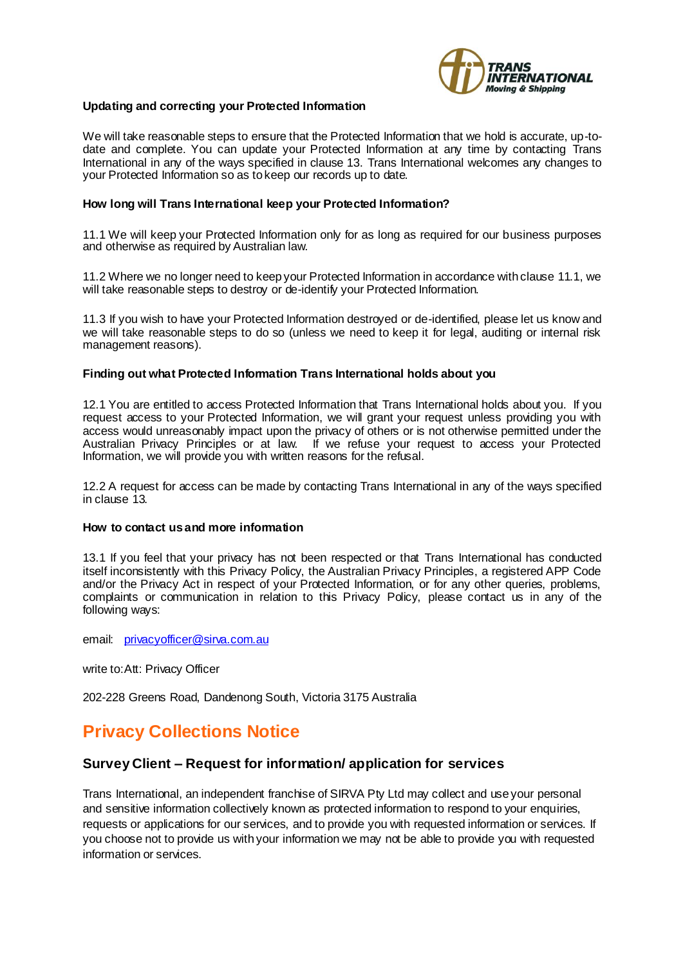

#### **Updating and correcting your Protected Information**

We will take reasonable steps to ensure that the Protected Information that we hold is accurate, up-todate and complete. You can update your Protected Information at any time by contacting Trans International in any of the ways specified in clause 13. Trans International welcomes any changes to your Protected Information so as to keep our records up to date.

#### **How long will Trans International keep your Protected Information?**

11.1 We will keep your Protected Information only for as long as required for our business purposes and otherwise as required by Australian law.

11.2 Where we no longer need to keep your Protected Information in accordance with clause 11.1, we will take reasonable steps to destroy or de-identify your Protected Information.

11.3 If you wish to have your Protected Information destroyed or de-identified, please let us know and we will take reasonable steps to do so (unless we need to keep it for legal, auditing or internal risk management reasons).

#### **Finding out what Protected Information Trans International holds about you**

12.1 You are entitled to access Protected Information that Trans International holds about you. If you request access to your Protected Information, we will grant your request unless providing you with access would unreasonably impact upon the privacy of others or is not otherwise permitted under the Australian Privacy Principles or at law. If we refuse your request to access your Protected Information, we will provide you with written reasons for the refusal.

12.2 A request for access can be made by contacting Trans International in any of the ways specified in clause 13.

#### **How to contact us and more information**

13.1 If you feel that your privacy has not been respected or that Trans International has conducted itself inconsistently with this Privacy Policy, the Australian Privacy Principles, a registered APP Code and/or the Privacy Act in respect of your Protected Information, or for any other queries, problems, complaints or communication in relation to this Privacy Policy, please contact us in any of the following ways:

email: [privacyofficer@sirva.com.au](mailto:privacyofficer@sirva.com.au)

write to:Att: Privacy Officer

202-228 Greens Road, Dandenong South, Victoria 3175 Australia

## **Privacy Collections Notice**

#### **Survey Client – Request for information/ application for services**

Trans International, an independent franchise of SIRVA Pty Ltd may collect and use your personal and sensitive information collectively known as protected information to respond to your enquiries, requests or applications for our services, and to provide you with requested information or services. If you choose not to provide us with your information we may not be able to provide you with requested information or services.